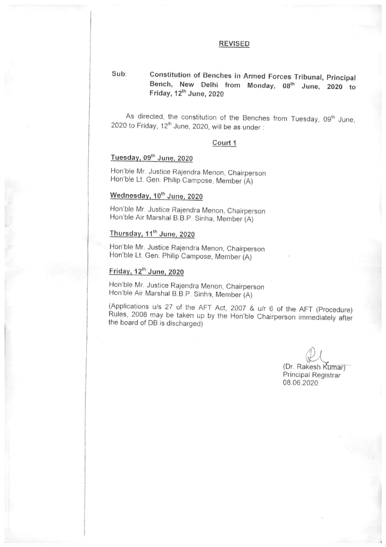#### **REVISED**

#### Constitution of Benches in Armed Forces Tribunal, Principal  $Sub:$ Bench, New Delhi from Monday, 08th June, 2020 to Friday, 12<sup>th</sup> June, 2020

As directed, the constitution of the Benches from Tuesday, 09th June, 2020 to Friday, 12<sup>th</sup> June, 2020, will be as under:

#### Court 1

#### Tuesday, 09th June, 2020

Hon'ble Mr. Justice Rajendra Menon, Chairperson Hon'ble Lt. Gen. Philip Campose, Member (A)

### Wednesday, 10th June, 2020

Hon'ble Mr. Justice Rajendra Menon, Chairperson Hon'ble Air Marshal B.B.P. Sinha, Member (A)

#### Thursday, 11<sup>th</sup> June, 2020

Hon'ble Mr. Justice Rajendra Menon, Chairperson Hon'ble Lt. Gen. Philip Campose, Member (A)

## Friday, 12th June, 2020

Hon'ble Mr. Justice Rajendra Menon, Chairperson Hon'ble Air Marshal B.B.P. Sinha, Member (A)

(Applications u/s 27 of the AFT Act, 2007 & u/r 6 of the AFT (Procedure) Rules, 2008 may be taken up by the Hon'ble Chairperson immediately after the board of DB is discharged)

> (Dr. Rakesh Kumar) Principal Registrar 08.06.2020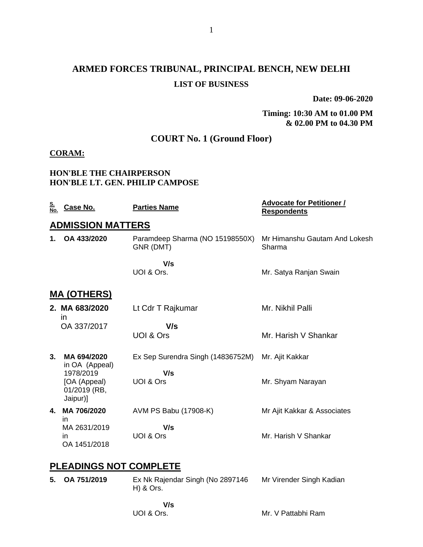# **ARMED FORCES TRIBUNAL, PRINCIPAL BENCH, NEW DELHI LIST OF BUSINESS**

**Date: 09-06-2020**

#### **Timing: 10:30 AM to 01.00 PM & 02.00 PM to 04.30 PM**

# **COURT No. 1 (Ground Floor)**

#### **CORAM:**

#### **HON'BLE THE CHAIRPERSON HON'BLE LT. GEN. PHILIP CAMPOSE**

| <u>S.</u><br>No. | Case No.                                              | <b>Parties Name</b>                          | <b>Advocate for Petitioner /</b><br><b>Respondents</b> |  |
|------------------|-------------------------------------------------------|----------------------------------------------|--------------------------------------------------------|--|
|                  | <b>ADMISSION MATTERS</b>                              |                                              |                                                        |  |
| 1.               | OA 433/2020                                           | Paramdeep Sharma (NO 15198550X)<br>GNR (DMT) | Mr Himanshu Gautam And Lokesh<br>Sharma                |  |
|                  |                                                       | V/s<br>UOI & Ors.                            | Mr. Satya Ranjan Swain                                 |  |
|                  | <u>MA (OTHERS)</u>                                    |                                              |                                                        |  |
|                  | 2. MA 683/2020<br>in                                  | Lt Cdr T Rajkumar                            | Mr. Nikhil Palli                                       |  |
|                  | OA 337/2017                                           | V/s<br>UOI & Ors                             | Mr. Harish V Shankar                                   |  |
| 3 <sub>1</sub>   | MA 694/2020<br>in OA (Appeal)                         | Ex Sep Surendra Singh (14836752M)            | Mr. Ajit Kakkar                                        |  |
|                  | 1978/2019<br>[OA (Appeal)<br>01/2019 (RB,<br>Jaipur)] | V/s<br>UOI & Ors                             | Mr. Shyam Narayan                                      |  |
| 4.               | MA 706/2020<br>in                                     | AVM PS Babu (17908-K)                        | Mr Ajit Kakkar & Associates                            |  |
|                  | MA 2631/2019<br>in<br>OA 1451/2018                    | V/s<br>UOI & Ors                             | Mr. Harish V Shankar                                   |  |
|                  | <b>PLEADINGS NOT COMPLETE</b>                         |                                              |                                                        |  |

- **5. OA 751/2019** Ex Nk Rajendar Singh (No 2897146 H) & Ors. Mr Virender Singh Kadian
	- **V/s**

UOI & Ors.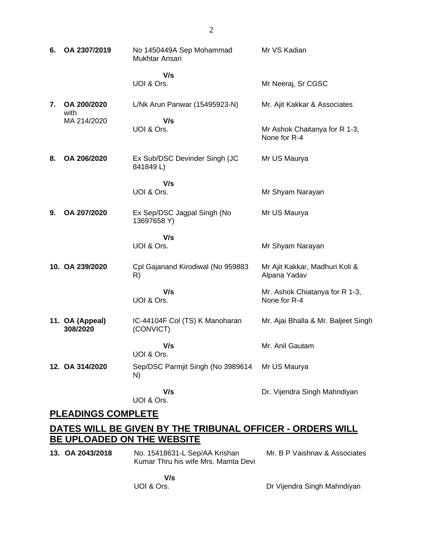| 6. | OA 2307/2019                | No 1450449A Sep Mohammad<br>Mukhtar Ansari  | Mr VS Kadian                                   |
|----|-----------------------------|---------------------------------------------|------------------------------------------------|
|    |                             | V/s<br>UOI & Ors.                           | Mr Neeraj, Sr CGSC                             |
| 7. | OA 200/2020                 | L/Nk Arun Panwar (15495923-N)               | Mr. Ajit Kakkar & Associates                   |
|    | with<br>MA 214/2020         | V/s<br>UOI & Ors.                           | Mr Ashok Chaitanya for R 1-3,<br>None for R-4  |
| 8. | OA 206/2020                 | Ex Sub/DSC Devinder Singh (JC<br>841849L)   | Mr US Maurya                                   |
|    |                             | V/s<br>UOI & Ors.                           | Mr Shyam Narayan                               |
| 9. | OA 207/2020                 | Ex Sep/DSC Jagpal Singh (No<br>13697658 Y)  | Mr US Maurya                                   |
|    |                             | V/s<br>UOI & Ors.                           | Mr Shyam Narayan                               |
|    | 10. OA 239/2020             | Cpl Gajanand Kirodiwal (No 959883<br>R)     | Mr Ajit Kakkar, Madhuri Koli &<br>Alpana Yadav |
|    |                             | V/s<br>UOI & Ors.                           | Mr. Ashok Chiatanya for R 1-3,<br>None for R-4 |
|    | 11. OA (Appeal)<br>308/2020 | IC-44104F Col (TS) K Manoharan<br>(CONVICT) | Mr. Ajai Bhalla & Mr. Baljeet Singh            |
|    |                             | V/s<br>UOI & Ors.                           | Mr. Anil Gautam                                |
|    | 12. OA 314/2020             | Sep/DSC Parmjit Singh (No 3989614<br>N)     | Mr US Maurya                                   |
|    |                             | V/s<br>UOI & Ors.                           | Dr. Vijendra Singh Mahndiyan                   |

## **PLEADINGS COMPLETE**

# **DATES WILL BE GIVEN BY THE TRIBUNAL OFFICER - ORDERS WILL BE UPLOADED ON THE WEBSITE**

**13. OA 2043/2018** No. 15418631-L Sep/AA Krishan Kumar Thru his wife Mrs. Mamta Devi Mr. B P Vaishnav & Associates

> **V/s** UOI & Ors.

Dr Vijendra Singh Mahndiyan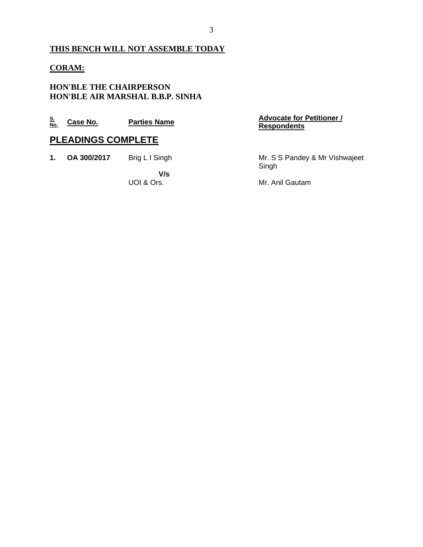# **THIS BENCH WILL NOT ASSEMBLE TODAY**

## **CORAM:**

### **HON'BLE THE CHAIRPERSON HON'BLE AIR MARSHAL B.B.P. SINHA**

| <u>S.</u><br>No. | Case No.                  | <b>Parties Name</b> | <b>Advocate for Petitioner /</b><br><b>Respondents</b> |  |  |  |
|------------------|---------------------------|---------------------|--------------------------------------------------------|--|--|--|
|                  | <b>PLEADINGS COMPLETE</b> |                     |                                                        |  |  |  |
| 1.               | OA 300/2017               | Brig L I Singh      | Mr. S S Pandey & Mr Vishwajeet<br>Singh                |  |  |  |
|                  |                           | V/s                 |                                                        |  |  |  |
|                  |                           | UOI & Ors.          | Mr. Anil Gautam                                        |  |  |  |
|                  |                           |                     |                                                        |  |  |  |
|                  |                           |                     |                                                        |  |  |  |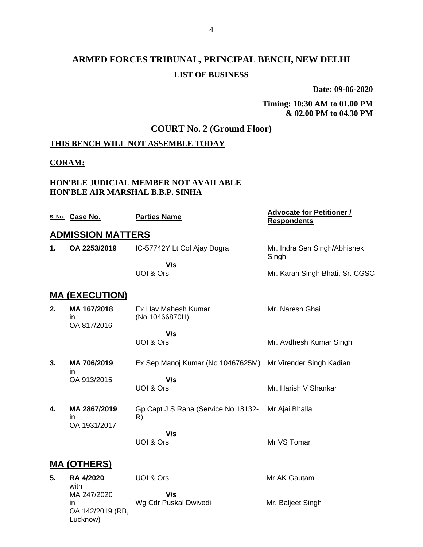# **ARMED FORCES TRIBUNAL, PRINCIPAL BENCH, NEW DELHI LIST OF BUSINESS**

**Date: 09-06-2020**

**Timing: 10:30 AM to 01.00 PM & 02.00 PM to 04.30 PM**

## **COURT No. 2 (Ground Floor)**

### **THIS BENCH WILL NOT ASSEMBLE TODAY**

#### **CORAM:**

Lucknow)

#### **HON'BLE JUDICIAL MEMBER NOT AVAILABLE HON'BLE AIR MARSHAL B.B.P. SINHA**

|    | S. No. Case No.                  | <b>Parties Name</b>                       | <b>Advocate for Petitioner /</b><br><b>Respondents</b> |
|----|----------------------------------|-------------------------------------------|--------------------------------------------------------|
|    | <b>ADMISSION MATTERS</b>         |                                           |                                                        |
| 1. | OA 2253/2019                     | IC-57742Y Lt Col Ajay Dogra               | Mr. Indra Sen Singh/Abhishek<br>Singh                  |
|    |                                  | V/s                                       |                                                        |
|    |                                  | UOI & Ors.                                | Mr. Karan Singh Bhati, Sr. CGSC                        |
|    | <b>MA (EXECUTION)</b>            |                                           |                                                        |
| 2. | MA 167/2018<br>in<br>OA 817/2016 | Ex Hav Mahesh Kumar<br>(No.10466870H)     | Mr. Naresh Ghai                                        |
|    |                                  | V/s                                       |                                                        |
|    |                                  | UOI & Ors                                 | Mr. Avdhesh Kumar Singh                                |
| 3. | MA 706/2019<br>ın                | Ex Sep Manoj Kumar (No 10467625M)         | Mr Virender Singh Kadian                               |
|    | OA 913/2015                      | V/s                                       |                                                        |
|    |                                  | UOI & Ors                                 | Mr. Harish V Shankar                                   |
| 4. | MA 2867/2019<br>in               | Gp Capt J S Rana (Service No 18132-<br>R) | Mr Ajai Bhalla                                         |
|    | OA 1931/2017                     | V/s                                       |                                                        |
|    |                                  | UOI & Ors                                 | Mr VS Tomar                                            |
|    | <b>MA (OTHERS)</b>               |                                           |                                                        |
| 5. | RA 4/2020<br>with                | UOI & Ors                                 | Mr AK Gautam                                           |
|    | MA 247/2020                      | V/s                                       |                                                        |
|    | in.<br>OA 142/2019 (RB,          | Wg Cdr Puskal Dwivedi                     | Mr. Baljeet Singh                                      |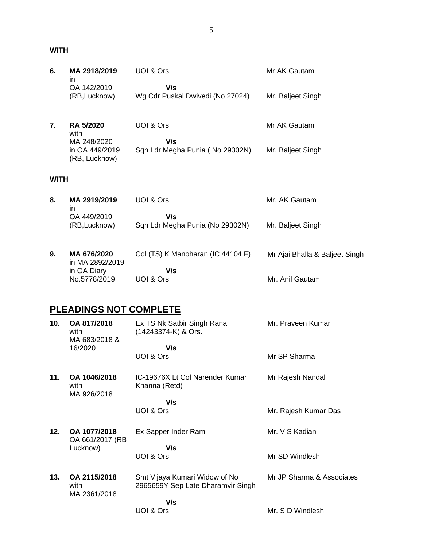#### **WITH**

| 6.          | MA 2918/2019<br>in                             | UOI & Ors                                         | Mr AK Gautam                   |
|-------------|------------------------------------------------|---------------------------------------------------|--------------------------------|
|             | OA 142/2019<br>(RB, Lucknow)                   | V/s<br>Wg Cdr Puskal Dwivedi (No 27024)           | Mr. Baljeet Singh              |
| 7.          | RA 5/2020<br>with                              | UOI & Ors                                         | Mr AK Gautam                   |
|             | MA 248/2020<br>in OA 449/2019<br>(RB, Lucknow) | V/s<br>Sqn Ldr Megha Punia (No 29302N)            | Mr. Baljeet Singh              |
| <b>WITH</b> |                                                |                                                   |                                |
| 8.          | MA 2919/2019<br>in                             | UOI & Ors                                         | Mr. AK Gautam                  |
|             | OA 449/2019<br>(RB, Lucknow)                   | V/s<br>Sqn Ldr Megha Punia (No 29302N)            | Mr. Baljeet Singh              |
| 9.          | MA 676/2020<br>in MA 2892/2019                 | Col (TS) K Manoharan (IC 44104 F)                 | Mr Ajai Bhalla & Baljeet Singh |
|             | in OA Diary<br>No.5778/2019                    | V/s<br>UOI & Ors                                  | Mr. Anil Gautam                |
|             | <b>PLEADINGS NOT COMPLETE</b>                  |                                                   |                                |
| 10.         | OA 817/2018<br>with<br>MA 683/2018 &           | Ex TS Nk Satbir Singh Rana<br>(14243374-K) & Ors. | Mr. Praveen Kumar              |
|             | 16/2020                                        | V/s<br>UOI & Ors.                                 | Mr SP Sharma                   |
| 11.         | OA 1046/2018<br>with<br>MA 926/2018            | IC-19676X Lt Col Narender Kumar<br>Khanna (Retd)  | Mr Rajesh Nandal               |
|             |                                                | V/s<br>UOI & Ors.                                 | Mr. Rajesh Kumar Das           |

**12. OA 1077/2018** OA 661/2017 (RB Lucknow) Ex Sapper Inder Ram  **V/s** UOI & Ors. Mr. V S Kadian Mr SD Windlesh

**13. OA 2115/2018** with MA 2361/2018 Smt Vijaya Kumari Widow of No 2965659Y Sep Late Dharamvir Singh  **V/s** UOI & Ors. Mr JP Sharma & Associates Mr. S D Windlesh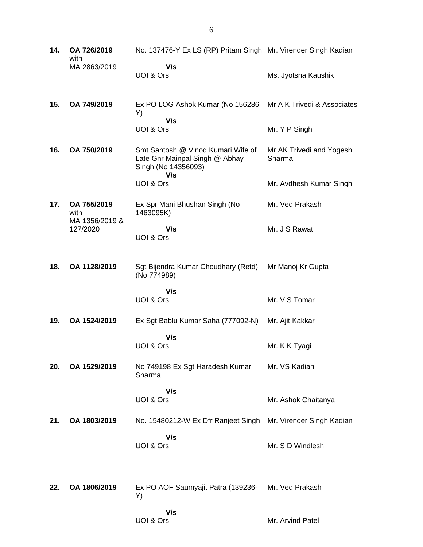| 14. | OA 726/2019<br>with                   | No. 137476-Y Ex LS (RP) Pritam Singh Mr. Virender Singh Kadian                                     |                                    |
|-----|---------------------------------------|----------------------------------------------------------------------------------------------------|------------------------------------|
|     | MA 2863/2019                          | V/s<br>UOI & Ors.                                                                                  | Ms. Jyotsna Kaushik                |
| 15. | OA 749/2019                           | Ex PO LOG Ashok Kumar (No 156286<br>Y)                                                             | Mr A K Trivedi & Associates        |
|     |                                       | V/s<br>UOI & Ors.                                                                                  | Mr. Y P Singh                      |
| 16. | OA 750/2019                           | Smt Santosh @ Vinod Kumari Wife of<br>Late Gnr Mainpal Singh @ Abhay<br>Singh (No 14356093)<br>V/s | Mr AK Trivedi and Yogesh<br>Sharma |
|     |                                       | UOI & Ors.                                                                                         | Mr. Avdhesh Kumar Singh            |
| 17. | OA 755/2019<br>with<br>MA 1356/2019 & | Ex Spr Mani Bhushan Singh (No<br>1463095K)                                                         | Mr. Ved Prakash                    |
|     | 127/2020                              | V/s<br>UOI & Ors.                                                                                  | Mr. J S Rawat                      |
| 18. | OA 1128/2019                          | Sgt Bijendra Kumar Choudhary (Retd)<br>(No 774989)                                                 | Mr Manoj Kr Gupta                  |
|     |                                       | V/s<br>UOI & Ors.                                                                                  | Mr. V S Tomar                      |
| 19. | OA 1524/2019                          | Ex Sgt Bablu Kumar Saha (777092-N)                                                                 | Mr. Ajit Kakkar                    |
|     |                                       | V/s<br>UOI & Ors.                                                                                  | Mr. K K Tyagi                      |
| 20. | OA 1529/2019                          | No 749198 Ex Sgt Haradesh Kumar<br>Sharma                                                          | Mr. VS Kadian                      |
|     |                                       | V/s<br>UOI & Ors.                                                                                  | Mr. Ashok Chaitanya                |
| 21. | OA 1803/2019                          | No. 15480212-W Ex Dfr Ranjeet Singh                                                                | Mr. Virender Singh Kadian          |
|     |                                       | V/s<br>UOI & Ors.                                                                                  | Mr. S D Windlesh                   |
| 22. | OA 1806/2019                          | Ex PO AOF Saumyajit Patra (139236-<br>Y)                                                           | Mr. Ved Prakash                    |
|     |                                       | V/s<br>UOI & Ors.                                                                                  | Mr. Arvind Patel                   |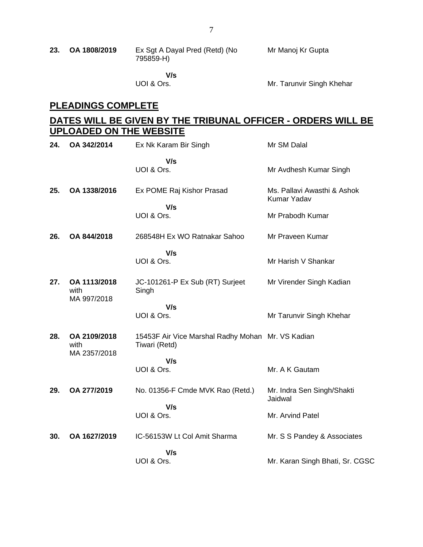| 23. | OA 1808/2019 | Ex Sgt A Dayal Pred (Retd) (No | Mr Manoj Kr Gupta |
|-----|--------------|--------------------------------|-------------------|
|     |              | 795859-H)                      |                   |
|     |              |                                |                   |

 **V/s** UOI & Ors.

Mr. Tarunvir Singh Khehar

# **PLEADINGS COMPLETE**

# **DATES WILL BE GIVEN BY THE TRIBUNAL OFFICER - ORDERS WILL BE UPLOADED ON THE WEBSITE**

| 24. | OA 342/2014                          | Ex Nk Karam Bir Singh                                              | Mr SM Dalal                                |
|-----|--------------------------------------|--------------------------------------------------------------------|--------------------------------------------|
|     |                                      | V/s<br>UOI & Ors.                                                  | Mr Avdhesh Kumar Singh                     |
| 25. | OA 1338/2016                         | Ex POME Raj Kishor Prasad<br>V/s                                   | Ms. Pallavi Awasthi & Ashok<br>Kumar Yadav |
|     |                                      | UOI & Ors.                                                         | Mr Prabodh Kumar                           |
| 26. | OA 844/2018                          | 268548H Ex WO Ratnakar Sahoo                                       | Mr Praveen Kumar                           |
|     |                                      | V/s                                                                |                                            |
|     |                                      | UOI & Ors.                                                         | Mr Harish V Shankar                        |
| 27. | OA 1113/2018<br>with<br>MA 997/2018  | JC-101261-P Ex Sub (RT) Surjeet<br>Singh                           | Mr Virender Singh Kadian                   |
|     |                                      | V/s                                                                |                                            |
|     |                                      | UOI & Ors.                                                         | Mr Tarunvir Singh Khehar                   |
| 28. | OA 2109/2018<br>with<br>MA 2357/2018 | 15453F Air Vice Marshal Radhy Mohan Mr. VS Kadian<br>Tiwari (Retd) |                                            |
|     |                                      | V/s                                                                |                                            |
|     |                                      | UOI & Ors.                                                         | Mr. A K Gautam                             |
| 29. | OA 277/2019                          | No. 01356-F Cmde MVK Rao (Retd.)<br>V/s                            | Mr. Indra Sen Singh/Shakti<br>Jaidwal      |
|     |                                      | UOI & Ors.                                                         | Mr. Arvind Patel                           |
| 30. | OA 1627/2019                         | IC-56153W Lt Col Amit Sharma                                       | Mr. S S Pandey & Associates                |
|     |                                      | V/s                                                                |                                            |
|     |                                      | UOI & Ors.                                                         | Mr. Karan Singh Bhati, Sr. CGSC            |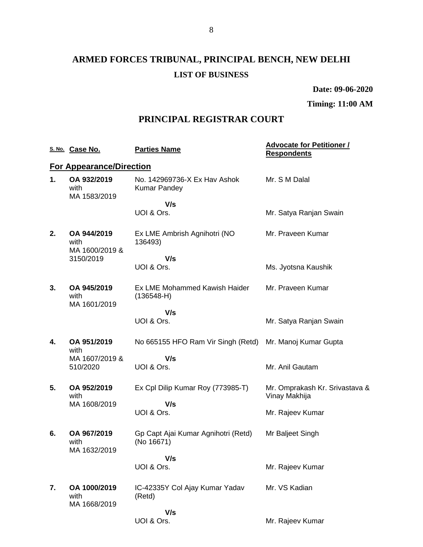# **ARMED FORCES TRIBUNAL, PRINCIPAL BENCH, NEW DELHI LIST OF BUSINESS**

#### **Date: 09-06-2020**

# **Timing: 11:00 AM**

# **PRINCIPAL REGISTRAR COURT**

|    | S. No. Case No.                       | <b>Parties Name</b>                                 | <b>Advocate for Petitioner /</b><br><b>Respondents</b> |
|----|---------------------------------------|-----------------------------------------------------|--------------------------------------------------------|
|    | <b>For Appearance/Direction</b>       |                                                     |                                                        |
| 1. | OA 932/2019<br>with<br>MA 1583/2019   | No. 142969736-X Ex Hav Ashok<br><b>Kumar Pandey</b> | Mr. S M Dalal                                          |
|    |                                       | V/s                                                 |                                                        |
|    |                                       | UOI & Ors.                                          | Mr. Satya Ranjan Swain                                 |
| 2. | OA 944/2019<br>with<br>MA 1600/2019 & | Ex LME Ambrish Agnihotri (NO<br>136493)             | Mr. Praveen Kumar                                      |
|    | 3150/2019                             | V/s                                                 |                                                        |
|    |                                       | UOI & Ors.                                          | Ms. Jyotsna Kaushik                                    |
| 3. | OA 945/2019<br>with<br>MA 1601/2019   | Ex LME Mohammed Kawish Haider<br>$(136548-H)$       | Mr. Praveen Kumar                                      |
|    |                                       | V/s                                                 |                                                        |
|    |                                       | UOI & Ors.                                          | Mr. Satya Ranjan Swain                                 |
| 4. | OA 951/2019<br>with                   | No 665155 HFO Ram Vir Singh (Retd)                  | Mr. Manoj Kumar Gupta                                  |
|    | MA 1607/2019 &<br>510/2020            | V/s<br>UOI & Ors.                                   | Mr. Anil Gautam                                        |
| 5. | OA 952/2019<br>with                   | Ex Cpl Dilip Kumar Roy (773985-T)                   | Mr. Omprakash Kr. Srivastava &<br>Vinay Makhija        |
|    | MA 1608/2019                          | V/s<br>UOI & Ors.                                   |                                                        |
|    |                                       |                                                     | Mr. Rajeev Kumar                                       |
| 6. | OA 967/2019<br>with<br>MA 1632/2019   | Gp Capt Ajai Kumar Agnihotri (Retd)<br>(No 16671)   | Mr Baljeet Singh                                       |
|    |                                       | V/s                                                 |                                                        |
|    |                                       | UOI & Ors.                                          | Mr. Rajeev Kumar                                       |
| 7. | OA 1000/2019<br>with<br>MA 1668/2019  | IC-42335Y Col Ajay Kumar Yadav<br>(Retd)            | Mr. VS Kadian                                          |
|    |                                       | V/s                                                 |                                                        |
|    |                                       | UOI & Ors.                                          | Mr. Rajeev Kumar                                       |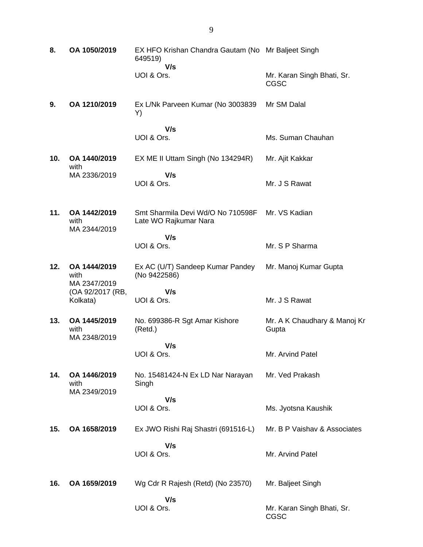| 8.  | OA 1050/2019                         | EX HFO Krishan Chandra Gautam (No Mr Baljeet Singh<br>649519) |                                       |
|-----|--------------------------------------|---------------------------------------------------------------|---------------------------------------|
|     |                                      | V/s<br>UOI & Ors.                                             | Mr. Karan Singh Bhati, Sr.<br>CGSC    |
| 9.  | OA 1210/2019                         | Ex L/Nk Parveen Kumar (No 3003839<br>Y)                       | Mr SM Dalal                           |
|     |                                      | V/s<br>UOI & Ors.                                             | Ms. Suman Chauhan                     |
| 10. | OA 1440/2019<br>with                 | EX ME II Uttam Singh (No 134294R)                             | Mr. Ajit Kakkar                       |
|     | MA 2336/2019                         | V/s<br>UOI & Ors.                                             | Mr. J S Rawat                         |
| 11. | OA 1442/2019<br>with<br>MA 2344/2019 | Smt Sharmila Devi Wd/O No 710598F<br>Late WO Rajkumar Nara    | Mr. VS Kadian                         |
|     |                                      | V/s<br>UOI & Ors.                                             | Mr. S P Sharma                        |
| 12. | OA 1444/2019<br>with<br>MA 2347/2019 | Ex AC (U/T) Sandeep Kumar Pandey<br>(No 9422586)              | Mr. Manoj Kumar Gupta                 |
|     | (OA 92/2017 (RB,<br>Kolkata)         | V/s<br>UOI & Ors.                                             | Mr. J S Rawat                         |
| 13. | OA 1445/2019<br>with<br>MA 2348/2019 | No. 699386-R Sgt Amar Kishore<br>(Retd.)                      | Mr. A K Chaudhary & Manoj Kr<br>Gupta |
|     |                                      | V/s<br>UOI & Ors.                                             | Mr. Arvind Patel                      |
| 14. | OA 1446/2019<br>with<br>MA 2349/2019 | No. 15481424-N Ex LD Nar Narayan<br>Singh                     | Mr. Ved Prakash                       |
|     |                                      | V/s<br>UOI & Ors.                                             | Ms. Jyotsna Kaushik                   |
| 15. | OA 1658/2019                         | Ex JWO Rishi Raj Shastri (691516-L)                           | Mr. B P Vaishav & Associates          |
|     |                                      | V/s<br>UOI & Ors.                                             | Mr. Arvind Patel                      |
| 16. | OA 1659/2019                         | Wg Cdr R Rajesh (Retd) (No 23570)                             | Mr. Baljeet Singh                     |
|     |                                      | V/s<br>UOI & Ors.                                             | Mr. Karan Singh Bhati, Sr.<br>CGSC    |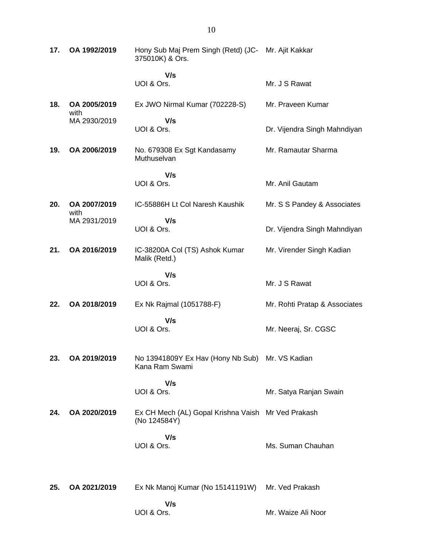| 17. | OA 1992/2019         | Hony Sub Maj Prem Singh (Retd) (JC- Mr. Ajit Kakkar<br>375010K) & Ors. |                               |
|-----|----------------------|------------------------------------------------------------------------|-------------------------------|
|     |                      | V/s<br>UOI & Ors.                                                      | Mr. J S Rawat                 |
| 18. | OA 2005/2019<br>with | Ex JWO Nirmal Kumar (702228-S)                                         | Mr. Praveen Kumar             |
|     | MA 2930/2019         | V/s<br>UOI & Ors.                                                      | Dr. Vijendra Singh Mahndiyan  |
| 19. | OA 2006/2019         | No. 679308 Ex Sgt Kandasamy<br>Muthuselvan                             | Mr. Ramautar Sharma           |
|     |                      | V/s<br>UOI & Ors.                                                      | Mr. Anil Gautam               |
| 20. | OA 2007/2019<br>with | IC-55886H Lt Col Naresh Kaushik                                        | Mr. S S Pandey & Associates   |
|     | MA 2931/2019         | V/s<br>UOI & Ors.                                                      | Dr. Vijendra Singh Mahndiyan  |
| 21. | OA 2016/2019         | IC-38200A Col (TS) Ashok Kumar<br>Malik (Retd.)                        | Mr. Virender Singh Kadian     |
|     |                      | V/s<br>UOI & Ors.                                                      | Mr. J S Rawat                 |
| 22. | OA 2018/2019         | Ex Nk Rajmal (1051788-F)                                               | Mr. Rohti Pratap & Associates |
|     |                      | V/s<br>UOI & Ors.                                                      | Mr. Neeraj, Sr. CGSC          |
| 23. | OA 2019/2019         | No 13941809Y Ex Hav (Hony Nb Sub) Mr. VS Kadian<br>Kana Ram Swami      |                               |
|     |                      | V/s<br>UOI & Ors.                                                      | Mr. Satya Ranjan Swain        |
| 24. | OA 2020/2019         | Ex CH Mech (AL) Gopal Krishna Vaish Mr Ved Prakash<br>(No 124584Y)     |                               |
|     |                      | V/s<br>UOI & Ors.                                                      | Ms. Suman Chauhan             |
| 25. | OA 2021/2019         | Ex Nk Manoj Kumar (No 15141191W)                                       | Mr. Ved Prakash               |
|     |                      | V/s<br>UOI & Ors.                                                      | Mr. Waize Ali Noor            |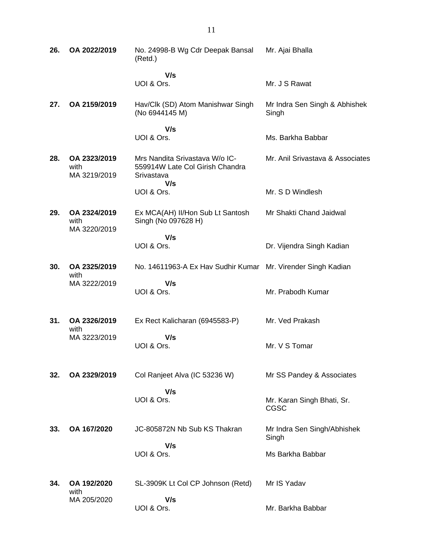| 26. | OA 2022/2019                         | No. 24998-B Wg Cdr Deepak Bansal<br>(Retd.)                                     | Mr. Ajai Bhalla                        |
|-----|--------------------------------------|---------------------------------------------------------------------------------|----------------------------------------|
|     |                                      | V/s<br>UOI & Ors.                                                               | Mr. J S Rawat                          |
| 27. | OA 2159/2019                         | Hav/Clk (SD) Atom Manishwar Singh<br>(No 6944145 M)                             | Mr Indra Sen Singh & Abhishek<br>Singh |
|     |                                      | V/s<br>UOI & Ors.                                                               | Ms. Barkha Babbar                      |
|     |                                      |                                                                                 |                                        |
| 28. | OA 2323/2019<br>with<br>MA 3219/2019 | Mrs Nandita Srivastava W/o IC-<br>559914W Late Col Girish Chandra<br>Srivastava | Mr. Anil Srivastava & Associates       |
|     |                                      | V/s<br>UOI & Ors.                                                               | Mr. S D Windlesh                       |
| 29. | OA 2324/2019<br>with<br>MA 3220/2019 | Ex MCA(AH) II/Hon Sub Lt Santosh<br>Singh (No 097628 H)                         | Mr Shakti Chand Jaidwal                |
|     |                                      | V/s                                                                             |                                        |
|     |                                      | UOI & Ors.                                                                      | Dr. Vijendra Singh Kadian              |
| 30. | OA 2325/2019<br>with                 | No. 14611963-A Ex Hav Sudhir Kumar Mr. Virender Singh Kadian                    |                                        |
|     | MA 3222/2019                         | V/s<br>UOI & Ors.                                                               | Mr. Prabodh Kumar                      |
| 31. | OA 2326/2019                         | Ex Rect Kalicharan (6945583-P)                                                  | Mr. Ved Prakash                        |
|     | with<br>MA 3223/2019                 | V/s<br>UOI & Ors.                                                               | Mr. V S Tomar                          |
| 32. | OA 2329/2019                         | Col Ranjeet Alva (IC 53236 W)                                                   | Mr SS Pandey & Associates              |
|     |                                      | V/s<br>UOI & Ors.                                                               | Mr. Karan Singh Bhati, Sr.<br>CGSC     |
| 33. | OA 167/2020                          | JC-805872N Nb Sub KS Thakran                                                    | Mr Indra Sen Singh/Abhishek<br>Singh   |
|     |                                      | V/s<br>UOI & Ors.                                                               | Ms Barkha Babbar                       |
| 34. | OA 192/2020<br>with                  | SL-3909K Lt Col CP Johnson (Retd)                                               | Mr IS Yadav                            |
|     | MA 205/2020                          | V/s<br>UOI & Ors.                                                               | Mr. Barkha Babbar                      |